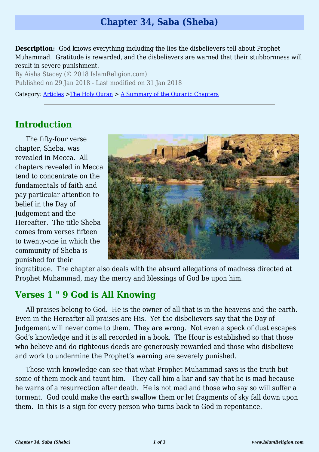# **Chapter 34, Saba (Sheba)**

**Description:** God knows everything including the lies the disbelievers tell about Prophet Muhammad. Gratitude is rewarded, and the disbelievers are warned that their stubbornness will result in severe punishment.

By Aisha Stacey (© 2018 IslamReligion.com) Published on 29 Jan 2018 - Last modified on 31 Jan 2018

Category: [Articles](http://www.islamreligion.com/articles/) >[The Holy Quran](http://www.islamreligion.com/category/75/) > [A Summary of the Quranic Chapters](http://www.islamreligion.com/category/77/)

# **Introduction**

The fifty-four verse chapter, Sheba, was revealed in Mecca. All chapters revealed in Mecca tend to concentrate on the fundamentals of faith and pay particular attention to belief in the Day of Judgement and the Hereafter. The title Sheba comes from verses fifteen to twenty-one in which the community of Sheba is punished for their



ingratitude. The chapter also deals with the absurd allegations of madness directed at Prophet Muhammad, may the mercy and blessings of God be upon him.

#### **Verses 1 " 9 God is All Knowing**

All praises belong to God. He is the owner of all that is in the heavens and the earth. Even in the Hereafter all praises are His. Yet the disbelievers say that the Day of Judgement will never come to them. They are wrong. Not even a speck of dust escapes God's knowledge and it is all recorded in a book. The Hour is established so that those who believe and do righteous deeds are generously rewarded and those who disbelieve and work to undermine the Prophet's warning are severely punished.

Those with knowledge can see that what Prophet Muhammad says is the truth but some of them mock and taunt him. They call him a liar and say that he is mad because he warns of a resurrection after death. He is not mad and those who say so will suffer a torment. God could make the earth swallow them or let fragments of sky fall down upon them. In this is a sign for every person who turns back to God in repentance.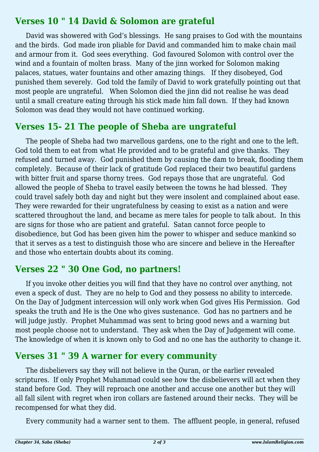#### **Verses 10 " 14 David & Solomon are grateful**

David was showered with God's blessings. He sang praises to God with the mountains and the birds. God made iron pliable for David and commanded him to make chain mail and armour from it. God sees everything. God favoured Solomon with control over the wind and a fountain of molten brass. Many of the jinn worked for Solomon making palaces, statues, water fountains and other amazing things. If they disobeyed, God punished them severely. God told the family of David to work gratefully pointing out that most people are ungrateful. When Solomon died the jinn did not realise he was dead until a small creature eating through his stick made him fall down. If they had known Solomon was dead they would not have continued working.

#### **Verses 15- 21 The people of Sheba are ungrateful**

The people of Sheba had two marvellous gardens, one to the right and one to the left. God told them to eat from what He provided and to be grateful and give thanks. They refused and turned away. God punished them by causing the dam to break, flooding them completely. Because of their lack of gratitude God replaced their two beautiful gardens with bitter fruit and sparse thorny trees. God repays those that are ungrateful. God allowed the people of Sheba to travel easily between the towns he had blessed. They could travel safely both day and night but they were insolent and complained about ease. They were rewarded for their ungratefulness by ceasing to exist as a nation and were scattered throughout the land, and became as mere tales for people to talk about. In this are signs for those who are patient and grateful. Satan cannot force people to disobedience, but God has been given him the power to whisper and seduce mankind so that it serves as a test to distinguish those who are sincere and believe in the Hereafter and those who entertain doubts about its coming.

### **Verses 22 " 30 One God, no partners!**

If you invoke other deities you will find that they have no control over anything, not even a speck of dust. They are no help to God and they possess no ability to intercede. On the Day of Judgment intercession will only work when God gives His Permission. God speaks the truth and He is the One who gives sustenance. God has no partners and he will judge justly. Prophet Muhammad was sent to bring good news and a warning but most people choose not to understand. They ask when the Day of Judgement will come. The knowledge of when it is known only to God and no one has the authority to change it.

### **Verses 31 " 39 A warner for every community**

The disbelievers say they will not believe in the Quran, or the earlier revealed scriptures. If only Prophet Muhammad could see how the disbelievers will act when they stand before God. They will reproach one another and accuse one another but they will all fall silent with regret when iron collars are fastened around their necks. They will be recompensed for what they did.

Every community had a warner sent to them. The affluent people, in general, refused